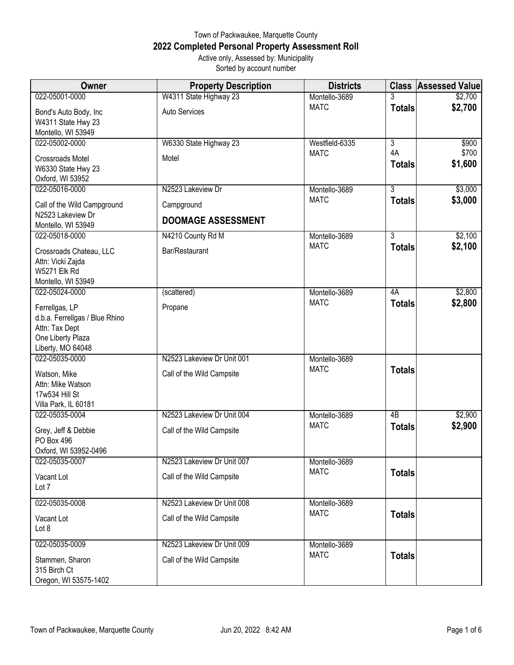## Town of Packwaukee, Marquette County **2022 Completed Personal Property Assessment Roll** Active only, Assessed by: Municipality Sorted by account number

| <b>Owner</b>                                                                                                 | <b>Property Description</b> | <b>Districts</b> |                     | <b>Class Assessed Value</b> |
|--------------------------------------------------------------------------------------------------------------|-----------------------------|------------------|---------------------|-----------------------------|
| 022-05001-0000                                                                                               | W4311 State Highway 23      | Montello-3689    | 3                   | \$2,700                     |
| Bond's Auto Body, Inc<br>W4311 State Hwy 23<br>Montello, WI 53949                                            | <b>Auto Services</b>        | <b>MATC</b>      | <b>Totals</b>       | \$2,700                     |
| 022-05002-0000                                                                                               | W6330 State Highway 23      | Westfield-6335   | $\overline{3}$      | \$900                       |
| Crossroads Motel<br>W6330 State Hwy 23<br>Oxford, WI 53952                                                   | Motel                       | <b>MATC</b>      | 4A<br><b>Totals</b> | \$700<br>\$1,600            |
| 022-05016-0000                                                                                               | N2523 Lakeview Dr           | Montello-3689    | $\overline{3}$      | \$3,000                     |
| Call of the Wild Campground                                                                                  | Campground                  | <b>MATC</b>      | <b>Totals</b>       | \$3,000                     |
| N2523 Lakeview Dr<br>Montello, WI 53949                                                                      | <b>DOOMAGE ASSESSMENT</b>   |                  |                     |                             |
| 022-05018-0000                                                                                               | N4210 County Rd M           | Montello-3689    | $\overline{3}$      | \$2,100                     |
| Crossroads Chateau, LLC<br>Attn: Vicki Zajda<br><b>W5271 Elk Rd</b><br>Montello, WI 53949                    | Bar/Restaurant              | <b>MATC</b>      | <b>Totals</b>       | \$2,100                     |
| 022-05024-0000                                                                                               | (scattered)                 | Montello-3689    | 4A                  | \$2,800                     |
| Ferrellgas, LP<br>d.b.a. Ferrellgas / Blue Rhino<br>Attn: Tax Dept<br>One Liberty Plaza<br>Liberty, MO 64048 | Propane                     | <b>MATC</b>      | <b>Totals</b>       | \$2,800                     |
| 022-05035-0000                                                                                               | N2523 Lakeview Dr Unit 001  | Montello-3689    |                     |                             |
| Watson, Mike<br>Attn: Mike Watson<br>17w534 Hill St<br>Villa Park, IL 60181                                  | Call of the Wild Campsite   | <b>MATC</b>      | <b>Totals</b>       |                             |
| 022-05035-0004                                                                                               | N2523 Lakeview Dr Unit 004  | Montello-3689    | $\overline{AB}$     | \$2,900                     |
| Grey, Jeff & Debbie<br><b>PO Box 496</b><br>Oxford, WI 53952-0496                                            | Call of the Wild Campsite   | <b>MATC</b>      | <b>Totals</b>       | \$2,900                     |
| 022-05035-0007                                                                                               | N2523 Lakeview Dr Unit 007  | Montello-3689    |                     |                             |
| Vacant Lot<br>Lot 7                                                                                          | Call of the Wild Campsite   | <b>MATC</b>      | <b>Totals</b>       |                             |
| 022-05035-0008                                                                                               | N2523 Lakeview Dr Unit 008  | Montello-3689    |                     |                             |
| Vacant Lot<br>Lot 8                                                                                          | Call of the Wild Campsite   | <b>MATC</b>      | <b>Totals</b>       |                             |
| 022-05035-0009                                                                                               | N2523 Lakeview Dr Unit 009  | Montello-3689    |                     |                             |
| Stammen, Sharon<br>315 Birch Ct<br>Oregon, WI 53575-1402                                                     | Call of the Wild Campsite   | <b>MATC</b>      | <b>Totals</b>       |                             |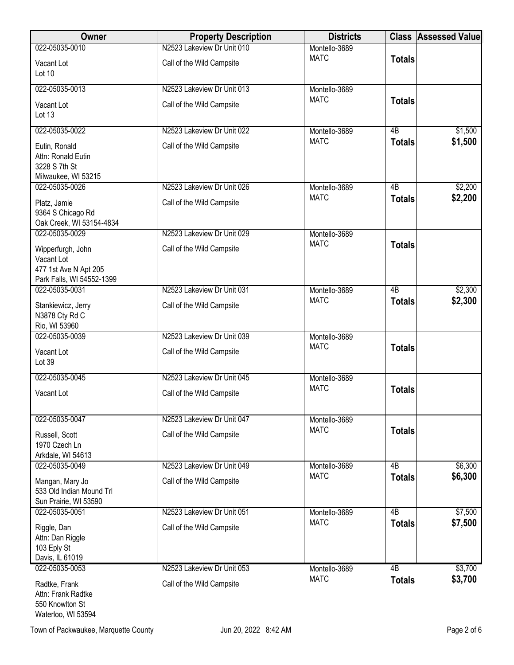| <b>Owner</b>                                                                          | <b>Property Description</b> | <b>Districts</b> |                 | <b>Class Assessed Value</b> |
|---------------------------------------------------------------------------------------|-----------------------------|------------------|-----------------|-----------------------------|
| 022-05035-0010                                                                        | N2523 Lakeview Dr Unit 010  | Montello-3689    |                 |                             |
| Vacant Lot<br>Lot $10$                                                                | Call of the Wild Campsite   | <b>MATC</b>      | <b>Totals</b>   |                             |
| 022-05035-0013                                                                        | N2523 Lakeview Dr Unit 013  | Montello-3689    |                 |                             |
| Vacant Lot<br>Lot 13                                                                  | Call of the Wild Campsite   | <b>MATC</b>      | <b>Totals</b>   |                             |
| 022-05035-0022                                                                        | N2523 Lakeview Dr Unit 022  | Montello-3689    | $\overline{AB}$ | \$1,500                     |
| Eutin, Ronald<br>Attn: Ronald Eutin<br>3228 S 7th St<br>Milwaukee, WI 53215           | Call of the Wild Campsite   | <b>MATC</b>      | <b>Totals</b>   | \$1,500                     |
| 022-05035-0026                                                                        | N2523 Lakeview Dr Unit 026  | Montello-3689    | $\overline{AB}$ | \$2,200                     |
| Platz, Jamie<br>9364 S Chicago Rd<br>Oak Creek, WI 53154-4834                         | Call of the Wild Campsite   | <b>MATC</b>      | <b>Totals</b>   | \$2,200                     |
| 022-05035-0029                                                                        | N2523 Lakeview Dr Unit 029  | Montello-3689    |                 |                             |
| Wipperfurgh, John<br>Vacant Lot<br>477 1st Ave N Apt 205<br>Park Falls, WI 54552-1399 | Call of the Wild Campsite   | <b>MATC</b>      | <b>Totals</b>   |                             |
| 022-05035-0031                                                                        | N2523 Lakeview Dr Unit 031  | Montello-3689    | $\overline{AB}$ | \$2,300                     |
| Stankiewicz, Jerry<br>N3878 Cty Rd C<br>Rio, WI 53960                                 | Call of the Wild Campsite   | <b>MATC</b>      | <b>Totals</b>   | \$2,300                     |
| 022-05035-0039                                                                        | N2523 Lakeview Dr Unit 039  | Montello-3689    |                 |                             |
| Vacant Lot<br>Lot 39                                                                  | Call of the Wild Campsite   | <b>MATC</b>      | <b>Totals</b>   |                             |
| 022-05035-0045                                                                        | N2523 Lakeview Dr Unit 045  | Montello-3689    |                 |                             |
| Vacant Lot                                                                            | Call of the Wild Campsite   | <b>MATC</b>      | <b>Totals</b>   |                             |
| 022-05035-0047                                                                        | N2523 Lakeview Dr Unit 047  | Montello-3689    |                 |                             |
| Russell, Scott<br>1970 Czech Ln<br>Arkdale, WI 54613                                  | Call of the Wild Campsite   | <b>MATC</b>      | <b>Totals</b>   |                             |
| 022-05035-0049                                                                        | N2523 Lakeview Dr Unit 049  | Montello-3689    | $\overline{AB}$ | \$6,300                     |
| Mangan, Mary Jo<br>533 Old Indian Mound Trl<br>Sun Prairie, WI 53590                  | Call of the Wild Campsite   | <b>MATC</b>      | <b>Totals</b>   | \$6,300                     |
| 022-05035-0051                                                                        | N2523 Lakeview Dr Unit 051  | Montello-3689    | $\overline{AB}$ | \$7,500                     |
| Riggle, Dan<br>Attn: Dan Riggle<br>103 Eply St<br>Davis, IL 61019                     | Call of the Wild Campsite   | <b>MATC</b>      | <b>Totals</b>   | \$7,500                     |
| 022-05035-0053                                                                        | N2523 Lakeview Dr Unit 053  | Montello-3689    | 4B              | \$3,700                     |
| Radtke, Frank<br>Attn: Frank Radtke                                                   | Call of the Wild Campsite   | <b>MATC</b>      | <b>Totals</b>   | \$3,700                     |

550 Knowlton St Waterloo, WI 53594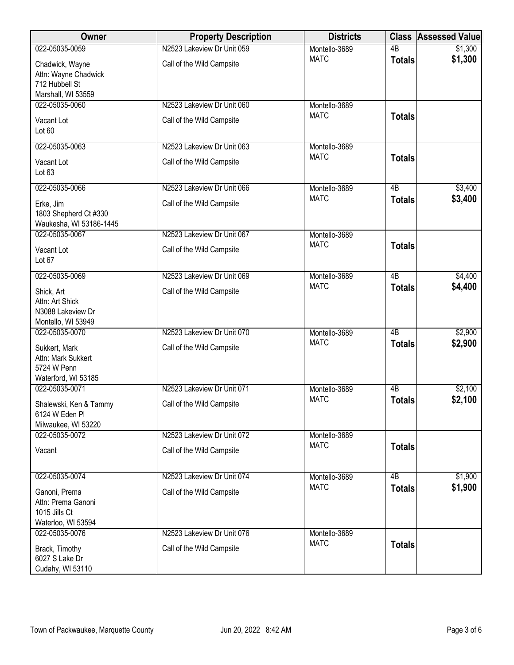| Owner                                                                           | <b>Property Description</b> | <b>Districts</b>             |                 | <b>Class Assessed Value</b> |
|---------------------------------------------------------------------------------|-----------------------------|------------------------------|-----------------|-----------------------------|
| 022-05035-0059                                                                  | N2523 Lakeview Dr Unit 059  | Montello-3689                | $\overline{AB}$ | \$1,300                     |
| Chadwick, Wayne<br>Attn: Wayne Chadwick<br>712 Hubbell St<br>Marshall, WI 53559 | Call of the Wild Campsite   | <b>MATC</b>                  | <b>Totals</b>   | \$1,300                     |
| 022-05035-0060                                                                  | N2523 Lakeview Dr Unit 060  | Montello-3689                |                 |                             |
| Vacant Lot<br>Lot 60                                                            | Call of the Wild Campsite   | <b>MATC</b>                  | <b>Totals</b>   |                             |
| 022-05035-0063                                                                  | N2523 Lakeview Dr Unit 063  | Montello-3689                |                 |                             |
| Vacant Lot<br>Lot <sub>63</sub>                                                 | Call of the Wild Campsite   | <b>MATC</b>                  | <b>Totals</b>   |                             |
| 022-05035-0066                                                                  | N2523 Lakeview Dr Unit 066  | Montello-3689                | $\overline{AB}$ | \$3,400                     |
| Erke, Jim<br>1803 Shepherd Ct #330<br>Waukesha, WI 53186-1445                   | Call of the Wild Campsite   | <b>MATC</b>                  | <b>Totals</b>   | \$3,400                     |
| 022-05035-0067                                                                  | N2523 Lakeview Dr Unit 067  | Montello-3689                |                 |                             |
| Vacant Lot<br>Lot 67                                                            | Call of the Wild Campsite   | <b>MATC</b>                  | <b>Totals</b>   |                             |
| 022-05035-0069                                                                  | N2523 Lakeview Dr Unit 069  | Montello-3689                | $\overline{AB}$ | \$4,400                     |
| Shick, Art<br>Attn: Art Shick<br>N3088 Lakeview Dr<br>Montello, WI 53949        | Call of the Wild Campsite   | <b>MATC</b>                  | <b>Totals</b>   | \$4,400                     |
| 022-05035-0070                                                                  | N2523 Lakeview Dr Unit 070  | Montello-3689                | $\overline{AB}$ | \$2,900                     |
| Sukkert, Mark<br>Attn: Mark Sukkert<br>5724 W Penn<br>Waterford, WI 53185       | Call of the Wild Campsite   | <b>MATC</b>                  | <b>Totals</b>   | \$2,900                     |
| 022-05035-0071                                                                  | N2523 Lakeview Dr Unit 071  | Montello-3689                | 4B              | \$2,100                     |
| Shalewski, Ken & Tammy<br>6124 W Eden PI                                        | Call of the Wild Campsite   | <b>MATC</b>                  | <b>Totals</b>   | \$2,100                     |
| Milwaukee, WI 53220<br>022-05035-0072                                           | N2523 Lakeview Dr Unit 072  | Montello-3689                |                 |                             |
| Vacant                                                                          | Call of the Wild Campsite   | <b>MATC</b>                  | <b>Totals</b>   |                             |
| 022-05035-0074                                                                  | N2523 Lakeview Dr Unit 074  | Montello-3689                | 4B              | \$1,900                     |
| Ganoni, Prema<br>Attn: Prema Ganoni<br>1015 Jills Ct<br>Waterloo, WI 53594      | Call of the Wild Campsite   | <b>MATC</b>                  | <b>Totals</b>   | \$1,900                     |
| 022-05035-0076                                                                  | N2523 Lakeview Dr Unit 076  | Montello-3689<br><b>MATC</b> |                 |                             |
| Brack, Timothy<br>6027 S Lake Dr<br>Cudahy, WI 53110                            | Call of the Wild Campsite   |                              | <b>Totals</b>   |                             |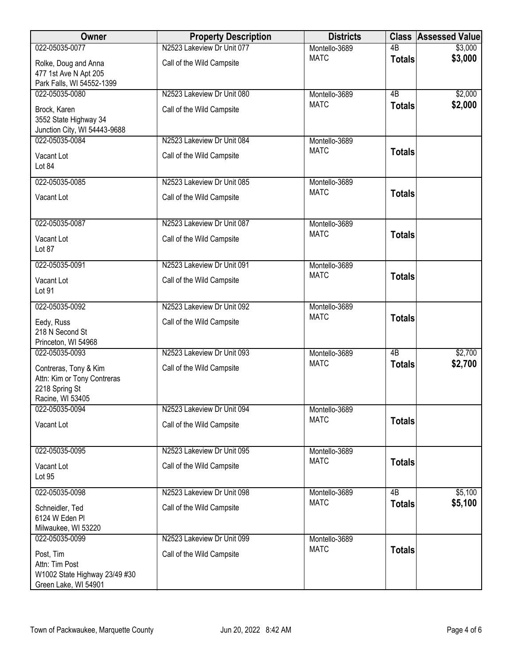| Owner                                                                                      | <b>Property Description</b> | <b>Districts</b> |                 | <b>Class Assessed Value</b> |
|--------------------------------------------------------------------------------------------|-----------------------------|------------------|-----------------|-----------------------------|
| 022-05035-0077                                                                             | N2523 Lakeview Dr Unit 077  | Montello-3689    | $\overline{AB}$ | \$3,000                     |
| Rolke, Doug and Anna<br>477 1st Ave N Apt 205<br>Park Falls, WI 54552-1399                 | Call of the Wild Campsite   | <b>MATC</b>      | <b>Totals</b>   | \$3,000                     |
| 022-05035-0080                                                                             | N2523 Lakeview Dr Unit 080  | Montello-3689    | $\overline{AB}$ | \$2,000                     |
| Brock, Karen<br>3552 State Highway 34<br>Junction City, WI 54443-9688                      | Call of the Wild Campsite   | <b>MATC</b>      | <b>Totals</b>   | \$2,000                     |
| 022-05035-0084                                                                             | N2523 Lakeview Dr Unit 084  | Montello-3689    |                 |                             |
| Vacant Lot<br>Lot 84                                                                       | Call of the Wild Campsite   | <b>MATC</b>      | <b>Totals</b>   |                             |
| 022-05035-0085                                                                             | N2523 Lakeview Dr Unit 085  | Montello-3689    |                 |                             |
| Vacant Lot                                                                                 | Call of the Wild Campsite   | <b>MATC</b>      | <b>Totals</b>   |                             |
| 022-05035-0087                                                                             | N2523 Lakeview Dr Unit 087  | Montello-3689    |                 |                             |
| Vacant Lot<br>Lot 87                                                                       | Call of the Wild Campsite   | <b>MATC</b>      | <b>Totals</b>   |                             |
| 022-05035-0091                                                                             | N2523 Lakeview Dr Unit 091  | Montello-3689    |                 |                             |
| Vacant Lot<br>Lot 91                                                                       | Call of the Wild Campsite   | <b>MATC</b>      | <b>Totals</b>   |                             |
| 022-05035-0092                                                                             | N2523 Lakeview Dr Unit 092  | Montello-3689    |                 |                             |
| Eedy, Russ<br>218 N Second St<br>Princeton, WI 54968                                       | Call of the Wild Campsite   | <b>MATC</b>      | <b>Totals</b>   |                             |
| 022-05035-0093                                                                             | N2523 Lakeview Dr Unit 093  | Montello-3689    | 4B              | \$2,700                     |
| Contreras, Tony & Kim<br>Attn: Kim or Tony Contreras<br>2218 Spring St<br>Racine, WI 53405 | Call of the Wild Campsite   | <b>MATC</b>      | <b>Totals</b>   | \$2,700                     |
| 022-05035-0094                                                                             | N2523 Lakeview Dr Unit 094  | Montello-3689    |                 |                             |
| Vacant Lot                                                                                 | Call of the Wild Campsite   | <b>MATC</b>      | <b>Totals</b>   |                             |
| 022-05035-0095                                                                             | N2523 Lakeview Dr Unit 095  | Montello-3689    |                 |                             |
| Vacant Lot<br>Lot 95                                                                       | Call of the Wild Campsite   | <b>MATC</b>      | <b>Totals</b>   |                             |
| 022-05035-0098                                                                             | N2523 Lakeview Dr Unit 098  | Montello-3689    | 4B              | \$5,100                     |
| Schneidler, Ted<br>6124 W Eden PI<br>Milwaukee, WI 53220                                   | Call of the Wild Campsite   | <b>MATC</b>      | <b>Totals</b>   | \$5,100                     |
| 022-05035-0099                                                                             | N2523 Lakeview Dr Unit 099  | Montello-3689    |                 |                             |
| Post, Tim<br>Attn: Tim Post<br>W1002 State Highway 23/49 #30<br>Green Lake, WI 54901       | Call of the Wild Campsite   | <b>MATC</b>      | <b>Totals</b>   |                             |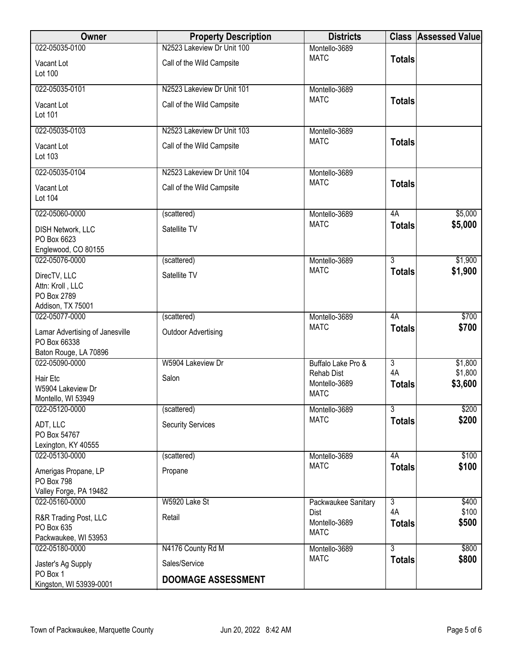| Owner                           | <b>Property Description</b> | <b>Districts</b>                   |                | <b>Class Assessed Value</b> |
|---------------------------------|-----------------------------|------------------------------------|----------------|-----------------------------|
| 022-05035-0100                  | N2523 Lakeview Dr Unit 100  | Montello-3689                      |                |                             |
| Vacant Lot                      | Call of the Wild Campsite   | <b>MATC</b>                        | <b>Totals</b>  |                             |
| Lot 100                         |                             |                                    |                |                             |
|                                 |                             |                                    |                |                             |
| 022-05035-0101                  | N2523 Lakeview Dr Unit 101  | Montello-3689                      |                |                             |
| Vacant Lot                      | Call of the Wild Campsite   | <b>MATC</b>                        | <b>Totals</b>  |                             |
| Lot 101                         |                             |                                    |                |                             |
| 022-05035-0103                  | N2523 Lakeview Dr Unit 103  | Montello-3689                      |                |                             |
|                                 |                             | <b>MATC</b>                        | <b>Totals</b>  |                             |
| Vacant Lot                      | Call of the Wild Campsite   |                                    |                |                             |
| Lot 103                         |                             |                                    |                |                             |
| 022-05035-0104                  | N2523 Lakeview Dr Unit 104  | Montello-3689                      |                |                             |
| Vacant Lot                      | Call of the Wild Campsite   | <b>MATC</b>                        | <b>Totals</b>  |                             |
| Lot 104                         |                             |                                    |                |                             |
|                                 |                             |                                    |                |                             |
| 022-05060-0000                  | (scattered)                 | Montello-3689                      | 4A             | \$5,000                     |
| DISH Network, LLC               | Satellite TV                | <b>MATC</b>                        | <b>Totals</b>  | \$5,000                     |
| PO Box 6623                     |                             |                                    |                |                             |
| Englewood, CO 80155             |                             |                                    |                |                             |
| 022-05076-0000                  | (scattered)                 | Montello-3689                      | $\overline{3}$ | \$1,900                     |
| DirecTV, LLC                    | Satellite TV                | <b>MATC</b>                        | <b>Totals</b>  | \$1,900                     |
| Attn: Kroll, LLC                |                             |                                    |                |                             |
| PO Box 2789                     |                             |                                    |                |                             |
| Addison, TX 75001               |                             |                                    |                |                             |
| 022-05077-0000                  | (scattered)                 | Montello-3689                      | 4A             | \$700                       |
| Lamar Advertising of Janesville | <b>Outdoor Advertising</b>  | <b>MATC</b>                        | <b>Totals</b>  | \$700                       |
| PO Box 66338                    |                             |                                    |                |                             |
| Baton Rouge, LA 70896           |                             |                                    |                |                             |
| 022-05090-0000                  | W5904 Lakeview Dr           | Buffalo Lake Pro &                 | $\overline{3}$ | \$1,800                     |
| Hair Etc                        | Salon                       | <b>Rehab Dist</b><br>Montello-3689 | 4A             | \$1,800                     |
| W5904 Lakeview Dr               |                             | <b>MATC</b>                        | <b>Totals</b>  | \$3,600                     |
| Montello, WI 53949              |                             |                                    |                |                             |
| 022-05120-0000                  | (scattered)                 | Montello-3689                      | 3              | \$200                       |
| ADT, LLC                        | <b>Security Services</b>    | <b>MATC</b>                        | <b>Totals</b>  | \$200                       |
| PO Box 54767                    |                             |                                    |                |                             |
| Lexington, KY 40555             |                             |                                    |                |                             |
| 022-05130-0000                  | (scattered)                 | Montello-3689                      | 4A             | \$100                       |
| Amerigas Propane, LP            | Propane                     | <b>MATC</b>                        | <b>Totals</b>  | \$100                       |
| <b>PO Box 798</b>               |                             |                                    |                |                             |
| Valley Forge, PA 19482          |                             |                                    |                |                             |
| 022-05160-0000                  | W5920 Lake St               | Packwaukee Sanitary                | $\overline{3}$ | \$400                       |
| R&R Trading Post, LLC           | Retail                      | Dist                               | 4A             | \$100                       |
| PO Box 635                      |                             | Montello-3689<br><b>MATC</b>       | <b>Totals</b>  | \$500                       |
| Packwaukee, WI 53953            |                             |                                    |                |                             |
| 022-05180-0000                  | N4176 County Rd M           | Montello-3689                      | $\overline{3}$ | \$800                       |
| Jaster's Ag Supply              | Sales/Service               | <b>MATC</b>                        | <b>Totals</b>  | \$800                       |
| PO Box 1                        |                             |                                    |                |                             |
| Kingston, WI 53939-0001         | <b>DOOMAGE ASSESSMENT</b>   |                                    |                |                             |